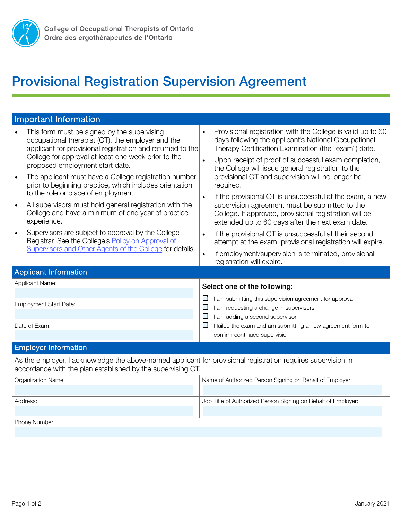

## Provisional Registration Supervision Agreement

| <b>Important Information</b>                                                                                                                                                     |                                                                                                                                                                                                                                       |  |
|----------------------------------------------------------------------------------------------------------------------------------------------------------------------------------|---------------------------------------------------------------------------------------------------------------------------------------------------------------------------------------------------------------------------------------|--|
| This form must be signed by the supervising<br>$\bullet$<br>occupational therapist (OT), the employer and the<br>applicant for provisional registration and returned to the      | Provisional registration with the College is valid up to 60<br>$\bullet$<br>days following the applicant's National Occupational<br>Therapy Certification Examination (the "exam") date.                                              |  |
| College for approval at least one week prior to the<br>proposed employment start date.                                                                                           | Upon receipt of proof of successful exam completion,<br>the College will issue general registration to the                                                                                                                            |  |
| The applicant must have a College registration number<br>$\bullet$<br>prior to beginning practice, which includes orientation                                                    | provisional OT and supervision will no longer be<br>required.                                                                                                                                                                         |  |
| to the role or place of employment.<br>All supervisors must hold general registration with the<br>$\bullet$<br>College and have a minimum of one year of practice<br>experience. | If the provisional OT is unsuccessful at the exam, a new<br>$\bullet$<br>supervision agreement must be submitted to the<br>College. If approved, provisional registration will be<br>extended up to 60 days after the next exam date. |  |
| Supervisors are subject to approval by the College<br>$\bullet$<br>Registrar. See the College's Policy on Approval of                                                            | If the provisional OT is unsuccessful at their second<br>$\bullet$<br>attempt at the exam, provisional registration will expire.                                                                                                      |  |
| Supervisors and Other Agents of the College for details.                                                                                                                         | If employment/supervision is terminated, provisional<br>registration will expire.                                                                                                                                                     |  |
| <b>Applicant Information</b>                                                                                                                                                     |                                                                                                                                                                                                                                       |  |
| Applicant Name:                                                                                                                                                                  | Select one of the following:                                                                                                                                                                                                          |  |
| <b>Employment Start Date:</b>                                                                                                                                                    | I am submitting this supervision agreement for approval<br>$\mathcal{L}_{\mathcal{A}}$<br>I am requesting a change in supervisors<br>$\overline{\phantom{a}}$<br>I am adding a second supervisor<br>Ш                                 |  |
| Date of Exam:                                                                                                                                                                    | I failed the exam and am submitting a new agreement form to<br>Ш<br>confirm continued supervision                                                                                                                                     |  |
| <b>Employer Information</b>                                                                                                                                                      |                                                                                                                                                                                                                                       |  |
| As the employer, I acknowledge the above-named applicant for provisional registration requires supervision in<br>accordance with the plan established by the supervising OT.     |                                                                                                                                                                                                                                       |  |
| Organization Name:                                                                                                                                                               | Name of Authorized Person Signing on Behalf of Employer:                                                                                                                                                                              |  |
| Address:                                                                                                                                                                         | Job Title of Authorized Person Signing on Behalf of Employer:                                                                                                                                                                         |  |
| Phone Number:                                                                                                                                                                    |                                                                                                                                                                                                                                       |  |